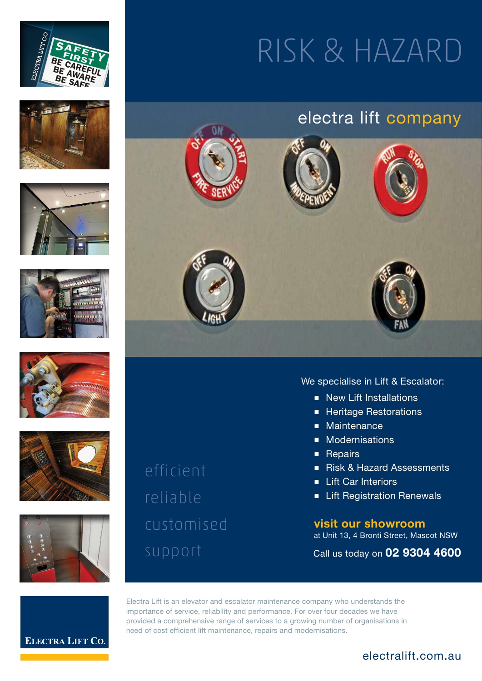













efficient reliable customised

# RISK & HAZARD

### electra lift company



#### We specialise in Lift & Escalator:

- New Lift Installations
- Heritage Restorations
- Maintenance
- Modernisations
- Repairs
- Risk & Hazard Assessments
- Lift Car Interiors
- Lift Registration Renewals

**visit our showroom** at Unit 13, 4 Bronti Street, Mascot NSW

Call us today on **02 9304 4600**



Electra Lift is an elevator and escalator maintenance company who understands the importance of service, reliability and performance. For over four decades we have provided a comprehensive range of services to a growing number of organisations in need of cost efficient lift maintenance, repairs and modernisations.

### electralift.com.au